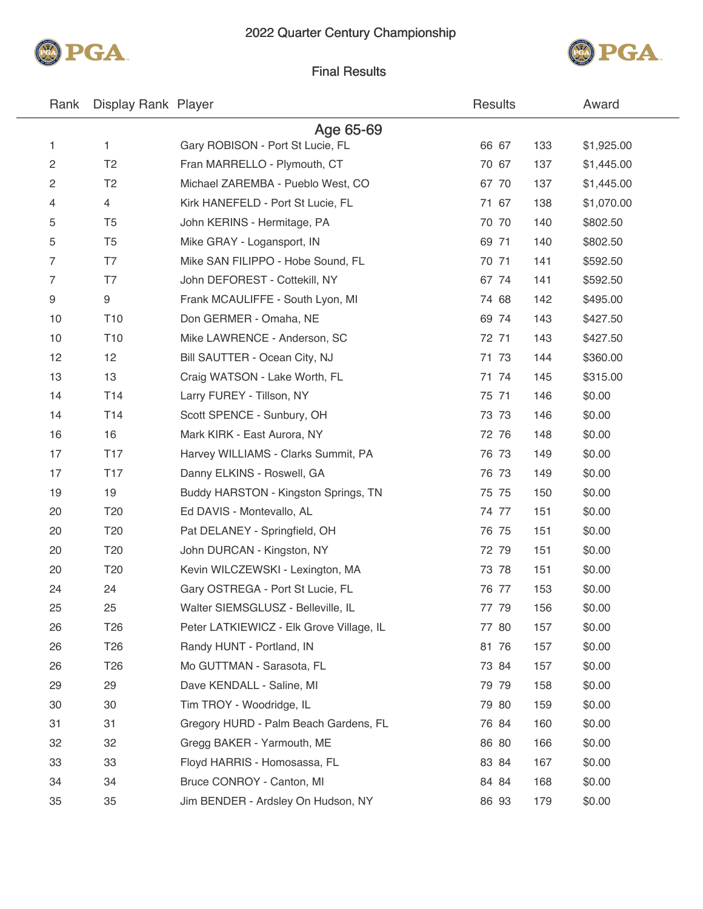



### Final Results

| Rank | Display Rank Player |                                          | Results |     | Award      |
|------|---------------------|------------------------------------------|---------|-----|------------|
|      |                     | Age 65-69                                |         |     |            |
| 1    | $\mathbf{1}$        | Gary ROBISON - Port St Lucie, FL         | 66 67   | 133 | \$1,925.00 |
| 2    | T <sub>2</sub>      | Fran MARRELLO - Plymouth, CT             | 70 67   | 137 | \$1,445.00 |
| 2    | T <sub>2</sub>      | Michael ZAREMBA - Pueblo West, CO        | 67 70   | 137 | \$1,445.00 |
| 4    | 4                   | Kirk HANEFELD - Port St Lucie, FL        | 71 67   | 138 | \$1,070.00 |
| 5    | T <sub>5</sub>      | John KERINS - Hermitage, PA              | 70 70   | 140 | \$802.50   |
| 5    | T <sub>5</sub>      | Mike GRAY - Logansport, IN               | 69 71   | 140 | \$802.50   |
| 7    | T7                  | Mike SAN FILIPPO - Hobe Sound, FL        | 70 71   | 141 | \$592.50   |
| 7    | T7                  | John DEFOREST - Cottekill, NY            | 67 74   | 141 | \$592.50   |
| 9    | 9                   | Frank MCAULIFFE - South Lyon, MI         | 74 68   | 142 | \$495.00   |
| 10   | T <sub>10</sub>     | Don GERMER - Omaha, NE                   | 69 74   | 143 | \$427.50   |
| 10   | T <sub>10</sub>     | Mike LAWRENCE - Anderson, SC             | 72 71   | 143 | \$427.50   |
| 12   | 12                  | Bill SAUTTER - Ocean City, NJ            | 71 73   | 144 | \$360.00   |
| 13   | 13                  | Craig WATSON - Lake Worth, FL            | 71 74   | 145 | \$315.00   |
| 14   | T14                 | Larry FUREY - Tillson, NY                | 75 71   | 146 | \$0.00     |
| 14   | T <sub>14</sub>     | Scott SPENCE - Sunbury, OH               | 73 73   | 146 | \$0.00     |
| 16   | 16                  | Mark KIRK - East Aurora, NY              | 72 76   | 148 | \$0.00     |
| 17   | <b>T17</b>          | Harvey WILLIAMS - Clarks Summit, PA      | 76 73   | 149 | \$0.00     |
| 17   | <b>T17</b>          | Danny ELKINS - Roswell, GA               | 76 73   | 149 | \$0.00     |
| 19   | 19                  | Buddy HARSTON - Kingston Springs, TN     | 75 75   | 150 | \$0.00     |
| 20   | T <sub>20</sub>     | Ed DAVIS - Montevallo, AL                | 74 77   | 151 | \$0.00     |
| 20   | T <sub>20</sub>     | Pat DELANEY - Springfield, OH            | 76 75   | 151 | \$0.00     |
| 20   | T <sub>20</sub>     | John DURCAN - Kingston, NY               | 72 79   | 151 | \$0.00     |
| 20   | T <sub>20</sub>     | Kevin WILCZEWSKI - Lexington, MA         | 73 78   | 151 | \$0.00     |
| 24   | 24                  | Gary OSTREGA - Port St Lucie, FL         | 76 77   | 153 | \$0.00     |
| 25   | 25                  | Walter SIEMSGLUSZ - Belleville, IL       | 77 79   | 156 | \$0.00     |
| 26   | T <sub>26</sub>     | Peter LATKIEWICZ - Elk Grove Village, IL | 77 80   | 157 | \$0.00     |
| 26   | T <sub>26</sub>     | Randy HUNT - Portland, IN                | 81 76   | 157 | \$0.00     |
| 26   | T <sub>26</sub>     | Mo GUTTMAN - Sarasota, FL                | 73 84   | 157 | \$0.00     |
| 29   | 29                  | Dave KENDALL - Saline, MI                | 79 79   | 158 | \$0.00     |
| 30   | 30                  | Tim TROY - Woodridge, IL                 | 79 80   | 159 | \$0.00     |
| 31   | 31                  | Gregory HURD - Palm Beach Gardens, FL    | 76 84   | 160 | \$0.00     |
| 32   | 32                  | Gregg BAKER - Yarmouth, ME               | 86 80   | 166 | \$0.00     |
| 33   | 33                  | Floyd HARRIS - Homosassa, FL             | 83 84   | 167 | \$0.00     |
| 34   | 34                  | Bruce CONROY - Canton, MI                | 84 84   | 168 | \$0.00     |
| 35   | 35                  | Jim BENDER - Ardsley On Hudson, NY       | 86 93   | 179 | \$0.00     |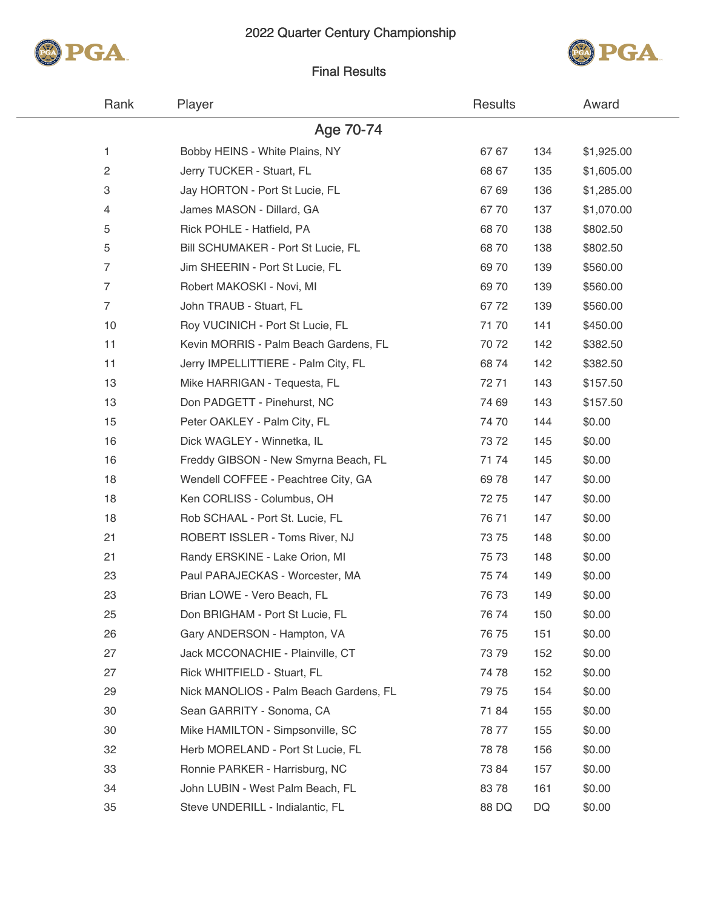### 2022 Quarter Century Championship





### Final Results

| Rank           | Player                                 | <b>Results</b> |     | Award      |  |
|----------------|----------------------------------------|----------------|-----|------------|--|
|                | Age 70-74                              |                |     |            |  |
| 1              | Bobby HEINS - White Plains, NY         | 67 67          | 134 | \$1,925.00 |  |
| 2              | Jerry TUCKER - Stuart, FL              | 68 67          | 135 | \$1,605.00 |  |
| 3              | Jay HORTON - Port St Lucie, FL         | 67 69          | 136 | \$1,285.00 |  |
| 4              | James MASON - Dillard, GA              | 6770           | 137 | \$1,070.00 |  |
| 5              | Rick POHLE - Hatfield, PA              | 6870           | 138 | \$802.50   |  |
| 5              | Bill SCHUMAKER - Port St Lucie, FL     | 6870           | 138 | \$802.50   |  |
| $\overline{7}$ | Jim SHEERIN - Port St Lucie, FL        | 69 70          | 139 | \$560.00   |  |
| 7              | Robert MAKOSKI - Novi, MI              | 69 70          | 139 | \$560.00   |  |
| $\overline{7}$ | John TRAUB - Stuart, FL                | 6772           | 139 | \$560.00   |  |
| 10             | Roy VUCINICH - Port St Lucie, FL       | 7170           | 141 | \$450.00   |  |
| 11             | Kevin MORRIS - Palm Beach Gardens, FL  | 70 72          | 142 | \$382.50   |  |
| 11             | Jerry IMPELLITTIERE - Palm City, FL    | 6874           | 142 | \$382.50   |  |
| 13             | Mike HARRIGAN - Tequesta, FL           | 7271           | 143 | \$157.50   |  |
| 13             | Don PADGETT - Pinehurst, NC            | 74 69          | 143 | \$157.50   |  |
| 15             | Peter OAKLEY - Palm City, FL           | 7470           | 144 | \$0.00     |  |
| 16             | Dick WAGLEY - Winnetka, IL             | 7372           | 145 | \$0.00     |  |
| 16             | Freddy GIBSON - New Smyrna Beach, FL   | 7174           | 145 | \$0.00     |  |
| 18             | Wendell COFFEE - Peachtree City, GA    | 6978           | 147 | \$0.00     |  |
| 18             | Ken CORLISS - Columbus, OH             | 7275           | 147 | \$0.00     |  |
| 18             | Rob SCHAAL - Port St. Lucie, FL        | 7671           | 147 | \$0.00     |  |
| 21             | ROBERT ISSLER - Toms River, NJ         | 7375           | 148 | \$0.00     |  |
| 21             | Randy ERSKINE - Lake Orion, MI         | 75 73          | 148 | \$0.00     |  |
| 23             | Paul PARAJECKAS - Worcester, MA        | 75 74          | 149 | \$0.00     |  |
| 23             | Brian LOWE - Vero Beach, FL            | 76 73          | 149 | \$0.00     |  |
| 25             | Don BRIGHAM - Port St Lucie, FL        | 7674           | 150 | \$0.00     |  |
| 26             | Gary ANDERSON - Hampton, VA            | 76 75          | 151 | \$0.00     |  |
| 27             | Jack MCCONACHIE - Plainville, CT       | 7379           | 152 | \$0.00     |  |
| 27             | Rick WHITFIELD - Stuart, FL            | 7478           | 152 | \$0.00     |  |
| 29             | Nick MANOLIOS - Palm Beach Gardens, FL | 79 75          | 154 | \$0.00     |  |
| 30             | Sean GARRITY - Sonoma, CA              | 7184           | 155 | \$0.00     |  |
| 30             | Mike HAMILTON - Simpsonville, SC       | 7877           | 155 | \$0.00     |  |
| 32             | Herb MORELAND - Port St Lucie, FL      | 78 78          | 156 | \$0.00     |  |
| 33             | Ronnie PARKER - Harrisburg, NC         | 7384           | 157 | \$0.00     |  |
| 34             | John LUBIN - West Palm Beach, FL       | 8378           | 161 | \$0.00     |  |
| 35             | Steve UNDERILL - Indialantic, FL       | 88 DQ          | DQ  | \$0.00     |  |
|                |                                        |                |     |            |  |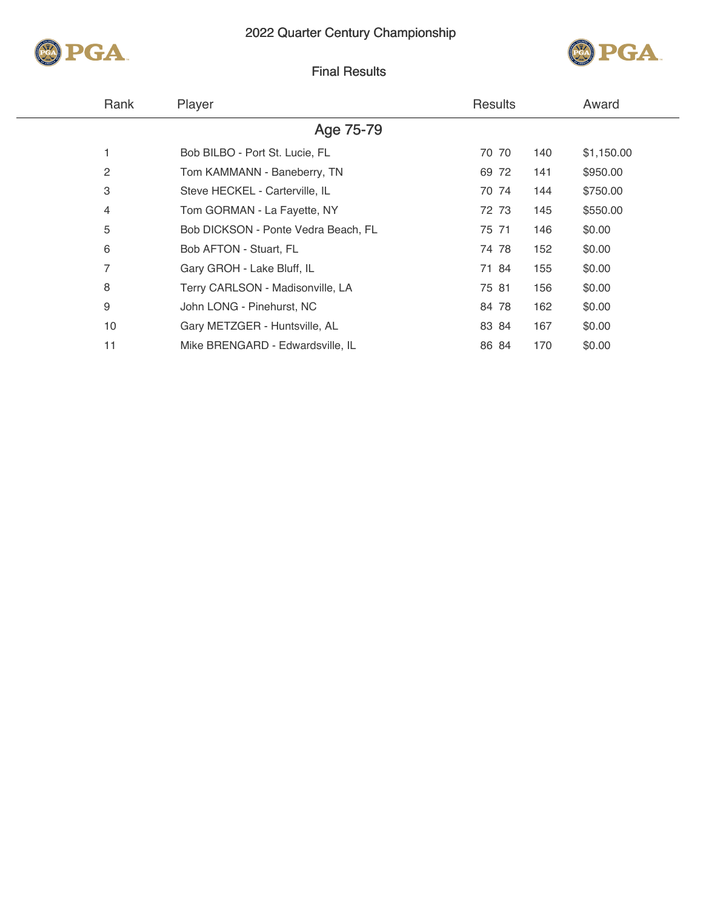



# Final Results

| Rank | Player                              | <b>Results</b> |     | Award      |
|------|-------------------------------------|----------------|-----|------------|
|      | Age 75-79                           |                |     |            |
|      | Bob BILBO - Port St. Lucie, FL      | 70 70          | 140 | \$1,150.00 |
| 2    | Tom KAMMANN - Baneberry, TN         | 69 72          | 141 | \$950.00   |
| 3    | Steve HECKEL - Carterville, IL      | 70 74          | 144 | \$750.00   |
| 4    | Tom GORMAN - La Fayette, NY         | 72 73          | 145 | \$550.00   |
| 5    | Bob DICKSON - Ponte Vedra Beach, FL | 75 71          | 146 | \$0.00     |
| 6    | Bob AFTON - Stuart, FL              | 74 78          | 152 | \$0.00     |
| 7    | Gary GROH - Lake Bluff, IL          | 71 84          | 155 | \$0.00     |
| 8    | Terry CARLSON - Madisonville, LA    | 75 81          | 156 | \$0.00     |
| 9    | John LONG - Pinehurst, NC           | 84 78          | 162 | \$0.00     |
| 10   | Gary METZGER - Huntsville, AL       | 83 84          | 167 | \$0.00     |
| 11   | Mike BRENGARD - Edwardsville, IL    | 86 84          | 170 | \$0.00     |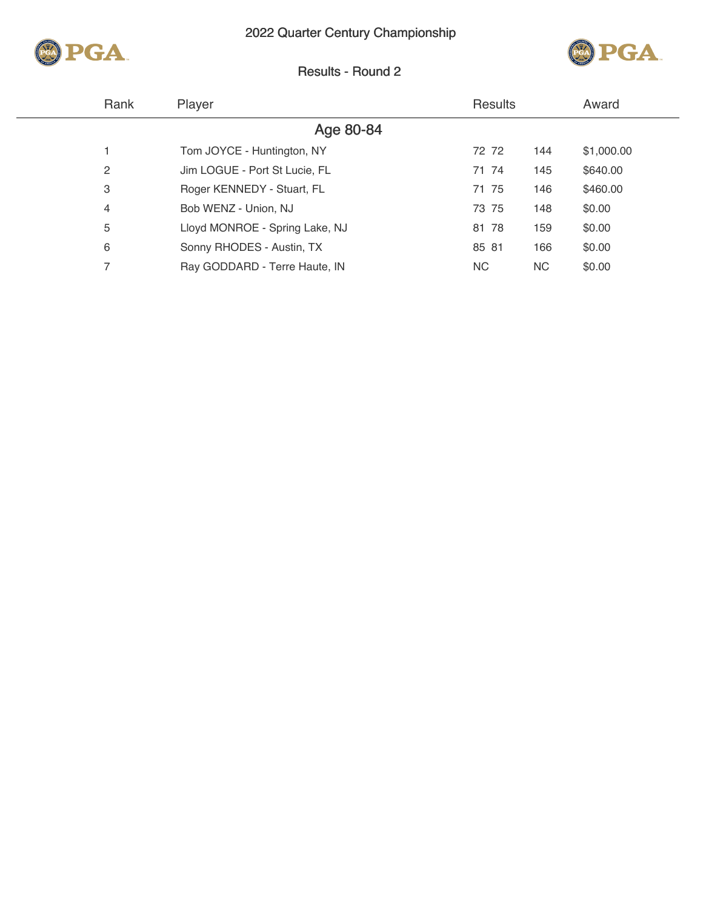



# Results - Round 2

|           | Rank           | Player                         | <b>Results</b> |     | Award      |
|-----------|----------------|--------------------------------|----------------|-----|------------|
| Age 80-84 |                |                                |                |     |            |
|           |                | Tom JOYCE - Huntington, NY     | 72 72          | 144 | \$1,000.00 |
|           | $\overline{2}$ | Jim LOGUE - Port St Lucie, FL  | 71 74          | 145 | \$640.00   |
|           | 3              | Roger KENNEDY - Stuart, FL     | 71 75          | 146 | \$460.00   |
|           | 4              | Bob WENZ - Union, NJ           | 73 75          | 148 | \$0.00     |
|           | 5              | Lloyd MONROE - Spring Lake, NJ | 81 78          | 159 | \$0.00     |
|           | 6              | Sonny RHODES - Austin, TX      | 85 81          | 166 | \$0.00     |
|           | 7              | Ray GODDARD - Terre Haute, IN  | NC.            | NC. | \$0.00     |
|           |                |                                |                |     |            |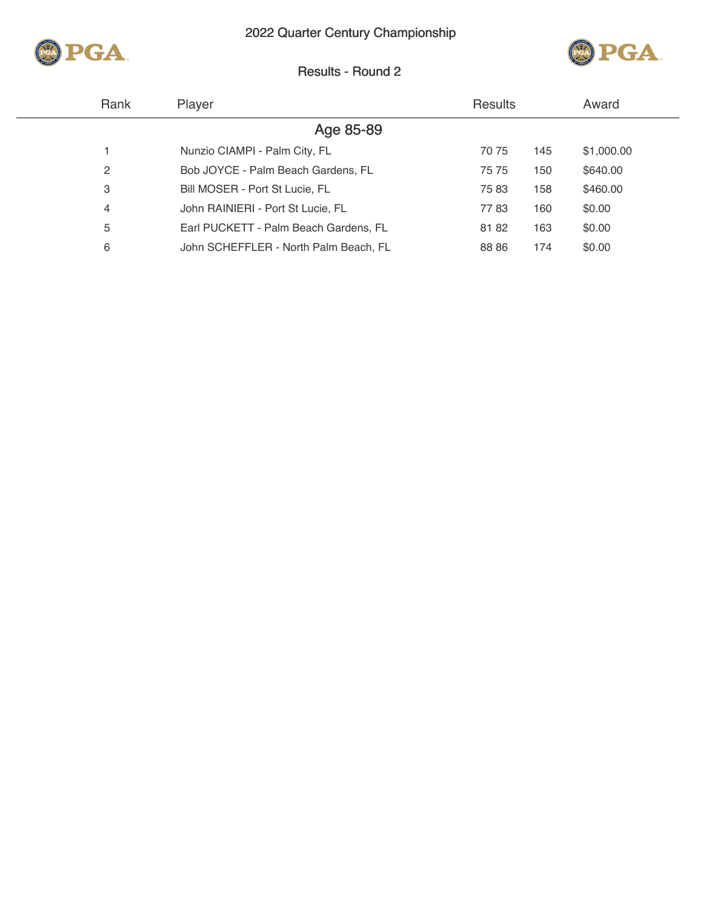



# Results - Round 2

| Rank | Player                                | <b>Results</b> |     | Award      |
|------|---------------------------------------|----------------|-----|------------|
|      | Age 85-89                             |                |     |            |
|      | Nunzio CIAMPI - Palm City, FL         | 70 75          | 145 | \$1,000.00 |
| 2    | Bob JOYCE - Palm Beach Gardens, FL    | 75 75          | 150 | \$640.00   |
| 3    | Bill MOSER - Port St Lucie, FL        | 7583           | 158 | \$460.00   |
| 4    | John RAINIERI - Port St Lucie, FL     | 7783           | 160 | \$0.00     |
| 5    | Earl PUCKETT - Palm Beach Gardens, FL | 8182           | 163 | \$0.00     |
| 6    | John SCHEFFLER - North Palm Beach, FL | 88 86          | 174 | \$0.00     |